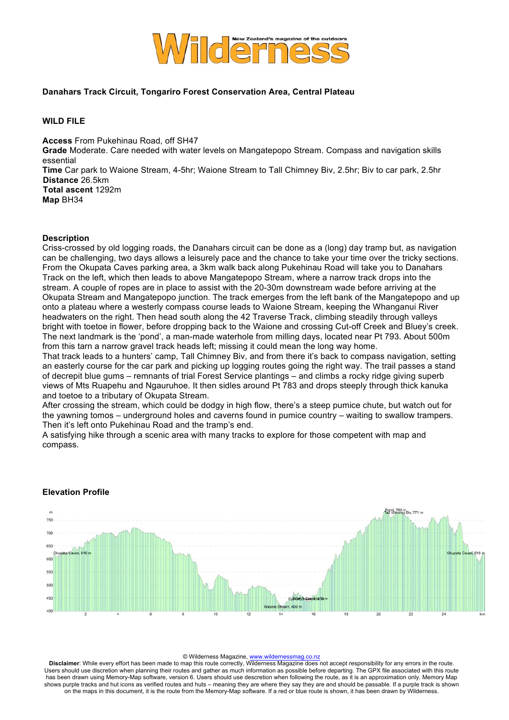

## **Danahars Track Circuit, Tongariro Forest Conservation Area, Central Plateau**

# **WILD FILE**

**Access** From Pukehinau Road, off SH47 **Grade** Moderate. Care needed with water levels on Mangatepopo Stream. Compass and navigation skills essential **Time** Car park to Waione Stream, 4-5hr; Waione Stream to Tall Chimney Biv, 2.5hr; Biv to car park, 2.5hr **Distance** 26.5km **Total ascent** 1292m **Map** BH34

### **Description**

Criss-crossed by old logging roads, the Danahars circuit can be done as a (long) day tramp but, as navigation can be challenging, two days allows a leisurely pace and the chance to take your time over the tricky sections. From the Okupata Caves parking area, a 3km walk back along Pukehinau Road will take you to Danahars Track on the left, which then leads to above Mangatepopo Stream, where a narrow track drops into the stream. A couple of ropes are in place to assist with the 20-30m downstream wade before arriving at the Okupata Stream and Mangatepopo junction. The track emerges from the left bank of the Mangatepopo and up onto a plateau where a westerly compass course leads to Waione Stream, keeping the Whanganui River headwaters on the right. Then head south along the 42 Traverse Track, climbing steadily through valleys bright with toetoe in flower, before dropping back to the Waione and crossing Cut-off Creek and Bluey's creek. The next landmark is the 'pond', a man-made waterhole from milling days, located near Pt 793. About 500m from this tarn a narrow gravel track heads left; missing it could mean the long way home.

That track leads to a hunters' camp, Tall Chimney Biv, and from there it's back to compass navigation, setting an easterly course for the car park and picking up logging routes going the right way. The trail passes a stand of decrepit blue gums – remnants of trial Forest Service plantings – and climbs a rocky ridge giving superb views of Mts Ruapehu and Ngauruhoe. It then sidles around Pt 783 and drops steeply through thick kanuka and toetoe to a tributary of Okupata Stream.

After crossing the stream, which could be dodgy in high flow, there's a steep pumice chute, but watch out for the yawning tomos – underground holes and caverns found in pumice country – waiting to swallow trampers. Then it's left onto Pukehinau Road and the tramp's end.

A satisfying hike through a scenic area with many tracks to explore for those competent with map and compass.



### **Elevation Profile**

#### © Wilderness Magazine, www.wildernessmag.co.nz

**Disclaimer**: While every effort has been made to map this route correctly, Wilderness Magazine does not accept responsibility for any errors in the route. Users should use discretion when planning their routes and gather as much information as possible before departing. The GPX file associated with this route has been drawn using Memory-Map software, version 6. Users should use descretion when following the route, as it is an approximation only. Memory Map shows purple tracks and hut icons as verified routes and huts – meaning they are where they say they are and should be passable. If a purple track is shown on the maps in this document, it is the route from the Memory-Map software. If a red or blue route is shown, it has been drawn by Wilderness.